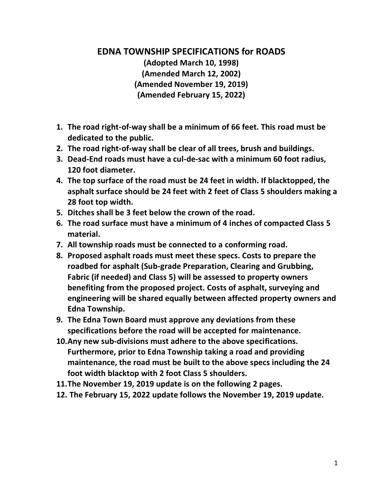# **EDNA TOWNSHIP SPECIFICATIONS for ROADS**

**(Adopted March 10, 1998) (Amended March 12, 2002) (Amended November 19, 2019) (Amended February 15, 2022)**

- **1. The road right-of-way shall be a minimum of 66 feet. This road must be dedicated to the public.**
- **2. The road right-of-way shall be clear of all trees, brush and buildings.**
- **3. Dead-End roads must have a cul-de-sac with a minimum 60 foot radius, 120 foot diameter.**
- **4. The top surface of the road must be 24 feet in width. If blacktopped, the asphalt surface should be 24 feet with 2 feet of Class 5 shoulders making a 28 foot top width.**
- **5. Ditches shall be 3 feet below the crown of the road.**
- **6. The road surface must have a minimum of 4 inches of compacted Class 5 material.**
- **7. All township roads must be connected to a conforming road.**
- **8. Proposed asphalt roads must meet these specs. Costs to prepare the roadbed for asphalt (Sub-grade Preparation, Clearing and Grubbing, Fabric (if needed) and Class 5) will be assessed to property owners benefiting from the proposed project. Costs of asphalt, surveying and engineering will be shared equally between affected property owners and Edna Township.**
- **9. The Edna Town Board must approve any deviations from these specifications before the road will be accepted for maintenance.**
- **10.Any new sub-divisions must adhere to the above specifications. Furthermore, prior to Edna Township taking a road and providing maintenance, the road must be built to the above specs including the 24 foot width blacktop with 2 foot Class 5 shoulders.**
- **11.The November 19, 2019 update is on the following 2 pages.**
- **12. The February 15, 2022 update follows the November 19, 2019 update.**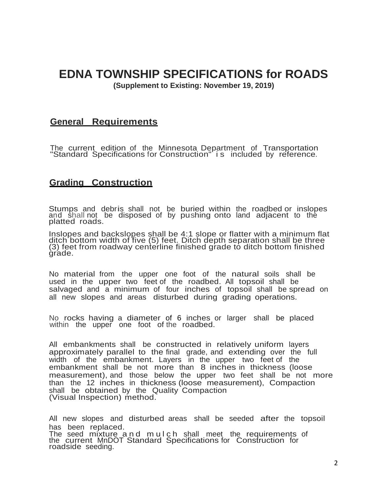# **EDNA TOWNSHIP SPECIFICATIONS for ROADS**

**(Supplement to Existing: November 19, 2019)**

### **General Requirements**

The current edition of the Minnesota Department of Transportation "Standard Specifications for Construction" i s included by reference.

## **Grading Construction**

Stumps and debris shall not be buried within the roadbed or inslopes and shall not be disposed of by pushing onto land adjacent to the platted roads.

Inslopes and backslopes shall be 4:1 slope or flatter with a minimum flat ditch bottom width of five (5) feet. Ditch depth separation shall be three (3) feet from roadway centerline finished grade to ditch bottom finished grade.

No material from the upper one foot of the natural soils shall be used in the upper two feet of the roadbed. All topsoil shall be salvaged and a minimum of four inches of topsoil shall be spread on all new slopes and areas disturbed during grading operations.

No rocks having a diameter of 6 inches or larger shall be placed within the upper one foot of the roadbed.

All embankments shall be constructed in relatively uniform layers approximately parallel to the final grade, and extending over the full width of the embankment. Layers in the upper two feet of the embankment shall be not more than 8 inches in thickness (loose measurement), and those below the upper two feet shall be not more than the 12 inches in thickness (loose measurement), Compaction shall be obtained by the Quality Compaction (Visual Inspection) method.

All new slopes and disturbed areas shall be seeded after the topsoil has been replaced. The seed mixture and mulch shall meet the requirements of the current MnDOT Standard Specifications for Construction for roadside seeding.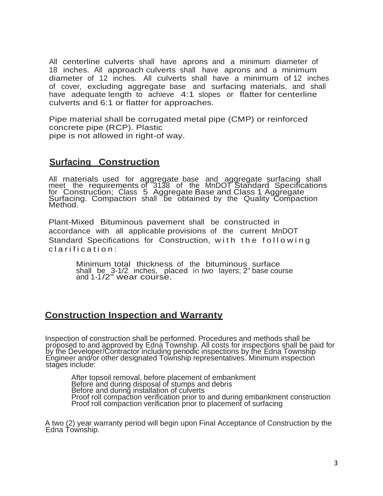All centerline culverts shall have aprons and a minimum diameter of 18 inches. All approach culverts shall have aprons and a minimum diameter of 12 inches. All culverts shall have a minimum of 12 inches of cover, excluding aggregate base and surfacing materials, and shall have adequate length to achieve 4:1 slopes or flatter for centerline culverts and 6:1 or flatter for approaches.

Pipe material shall be corrugated metal pipe (CMP) or reinforced concrete pipe (RCP). Plastic pipe is not allowed in right-of way.

# **Surfacing Construction**

All materials used for aggregate base and aggregate surfacing shall meet the requirements of 3138 of the MnDOT Standard Specifications for Construction; Class 5 Aggregate Base and Class 1 Aggregate Surfacing. Compaction shall be obtained by the Quality Compaction Method.

Plant-Mixed Bituminous pavement shall be constructed in accordance with all applicable provisions of the current MnDOT Standard Specifications for Construction, with the following clarification:

> Minimum total thickness of the bituminous surface shall be 3-1/2 inches, placed in two layers; 2" base course and 1-1/2" wear course.

## **Construction Inspection and Warranty**

Inspection of construction shall be performed. Procedures and methods shall be proposed to and approved by Edna Township. All costs for inspections shall be paid for by the Developer/Contractor including periodic inspections by the Edna Township Engineer and/or other designated Township representatives. Minimum inspection stages include:

After topsoil removal, before placement of embankment Before and during disposal of stumps and debris Before and during installation of culverts Proof roll compaction verification prior to and during embankment construction Proof roll compaction verification prior to placement of surfacing

A two (2) year warranty period will begin upon Final Acceptance of Construction by the Edna Township.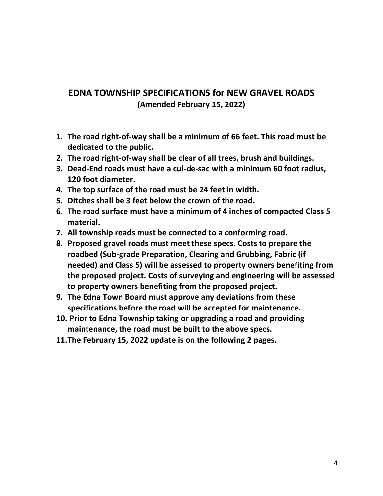# **EDNA TOWNSHIP SPECIFICATIONS for NEW GRAVEL ROADS (Amended February 15, 2022)**

- **1. The road right-of-way shall be a minimum of 66 feet. This road must be dedicated to the public.**
- **2. The road right-of-way shall be clear of all trees, brush and buildings.**
- **3. Dead-End roads must have a cul-de-sac with a minimum 60 foot radius, 120 foot diameter.**
- **4. The top surface of the road must be 24 feet in width.**

\_\_\_\_\_\_\_\_\_\_\_\_

- **5. Ditches shall be 3 feet below the crown of the road.**
- **6. The road surface must have a minimum of 4 inches of compacted Class 5 material.**
- **7. All township roads must be connected to a conforming road.**
- **8. Proposed gravel roads must meet these specs. Costs to prepare the roadbed (Sub-grade Preparation, Clearing and Grubbing, Fabric (if needed) and Class 5) will be assessed to property owners benefiting from the proposed project. Costs of surveying and engineering will be assessed to property owners benefiting from the proposed project.**
- **9. The Edna Town Board must approve any deviations from these specifications before the road will be accepted for maintenance.**
- **10. Prior to Edna Township taking or upgrading a road and providing maintenance, the road must be built to the above specs.**
- **11.The February 15, 2022 update is on the following 2 pages.**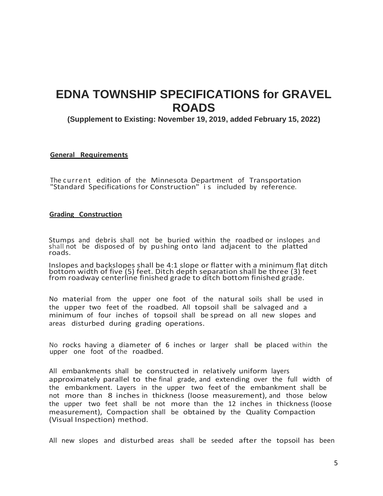# **EDNA TOWNSHIP SPECIFICATIONS for GRAVEL ROADS**

**(Supplement to Existing: November 19, 2019, added February 15, 2022)**

### **General Requirements**

The current edition of the Minnesota Department of Transportation "Standard Specifications for Construction" i s included by reference.

### **Grading Construction**

Stumps and debris shall not be buried within the roadbed or inslopes and shall not be disposed of by pushing onto land adjacent to the platted roads.

Inslopes and backslopes shall be 4:1 slope or flatter with a minimum flat ditch bottom width of five (5) feet. Ditch depth separation shall be three (3) feet from roadway centerline finished grade to ditch bottom finished grade.

No material from the upper one foot of the natural soils shall be used in the upper two feet of the roadbed. All topsoil shall be salvaged and a minimum of four inches of topsoil shall be spread on all new slopes and areas disturbed during grading operations.

No rocks having a diameter of 6 inches or larger shall be placed within the upper one foot of the roadbed.

All embankments shall be constructed in relatively uniform layers approximately parallel to the final grade, and extending over the full width of the embankment. Layers in the upper two feet of the embankment shall be not more than 8 inches in thickness (loose measurement), and those below the upper two feet shall be not more than the 12 inches in thickness (loose measurement), Compaction shall be obtained by the Quality Compaction (Visual Inspection) method.

All new slopes and disturbed areas shall be seeded after the topsoil has been